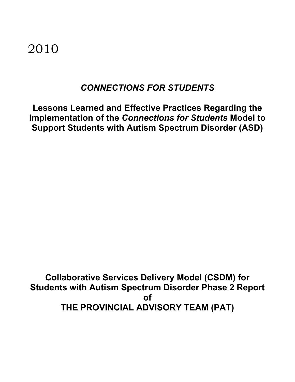2010

## *CONNECTIONS FOR STUDENTS*

**Lessons Learned and Effective Practices Regarding the Implementation of the** *Connections for Students* **Model to Support Students with Autism Spectrum Disorder (ASD)**

**Collaborative Services Delivery Model (CSDM) for Students with Autism Spectrum Disorder Phase 2 Report of THE PROVINCIAL ADVISORY TEAM (PAT)**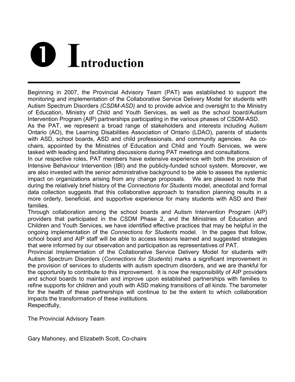# **D I**ntroduction

Beginning in 2007, the Provincial Advisory Team (PAT) was established to support the monitoring and implementation of the Collaborative Service Delivery Model for students with Autism Spectrum Disorders *(CSDM-ASD)* and to provide advice and oversight to the Ministry of Education, Ministry of Child and Youth Services, as well as the school board/Autism Intervention Program (AIP) partnerships participating in the various phases of CSDM-ASD.

As the PAT, we represent a broad range of stakeholders and interests including Autism Ontario (AO), the Learning Disabilities Association of Ontario (LDAO), parents of students with ASD, school boards, ASD and child professionals, and community agencies. As cochairs, appointed by the Ministries of Education and Child and Youth Services, we were tasked with leading and facilitating discussions during PAT meetings and consultations.

In our respective roles, PAT members have extensive experience with both the provision of Intensive Behaviour Intervention (IBI) and the publicly-funded school system. Moreover, we are also invested with the senior administrative background to be able to assess the systemic impact on organizations arising from any change proposals. We are pleased to note that during the relatively brief history of the *Connections for Students* model, anecdotal and formal data collection suggests that this collaborative approach to transition planning results in a more orderly, beneficial, and supportive experience for many students with ASD and their families.

Through collaboration among the school boards and Autism Intervention Program (AIP) providers that participated in the CSDM Phase 2, and the Ministries of Education and Children and Youth Services, we have identified effective practices that may be helpful in the ongoing implementation of the *Connections for Students* model. In the pages that follow, school board and AIP staff will be able to access lessons learned and suggested strategies that were informed by our observation and participation as representatives of PAT.

Provincial Implementation of the Collaborative Service Delivery Model for students with Autism Spectrum Disorders (*Connections for Students*) marks a significant improvement in the provision of services to students with autism spectrum disorders, and we are thankful for the opportunity to contribute to this improvement. It is now the responsibility of AIP providers and school boards to maintain and improve upon established partnerships with families to refine supports for children and youth with ASD making transitions of all kinds. The barometer for the health of these partnerships will continue to be the extent to which collaboration impacts the transformation of these institutions.

Respectfully,

The Provincial Advisory Team

Gary Mahoney, and Elizabeth Scott, Co-chairs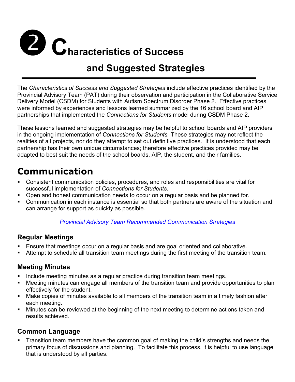# **2 C** haracteristics of Success

# **and Suggested Strategies**

The *Characteristics of Success and Suggested Strategies* include effective practices identified by the Provincial Advisory Team (PAT) during their observation and participation in the Collaborative Service Delivery Model (CSDM) for Students with Autism Spectrum Disorder Phase 2. Effective practices were informed by experiences and lessons learned summarized by the 16 school board and AIP partnerships that implemented the *Connections for Students* model during CSDM Phase 2.

These lessons learned and suggested strategies may be helpful to school boards and AIP providers in the ongoing implementation of *Connections for Students.* These strategies may not reflect the realities of all projects, nor do they attempt to set out definitive practices. It is understood that each partnership has their own unique circumstances; therefore effective practices provided may be adapted to best suit the needs of the school boards, AIP, the student, and their families.

## **Communication**

- **EXECONS** Communication policies, procedures, and roles and responsibilities are vital for successful implementation of *Connections for Students*.
- **Den and honest communication needs to occur on a regular basis and be planned for.**
- # Communication in each instance is essential so that both partners are aware of the situation and can arrange for support as quickly as possible.

#### *Provincial Advisory Team Recommended Communication Strategies*

### **Regular Meetings**

- **Ensure that meetings occur on a regular basis and are goal oriented and collaborative.**
- **EXTERUTE:** Attempt to schedule all transition team meetings during the first meeting of the transition team.

## **Meeting Minutes**

- **EXED Include meeting minutes as a regular practice during transition team meetings.**
- **EXT** Meeting minutes can engage all members of the transition team and provide opportunities to plan effectively for the student.
- **■** Make copies of minutes available to all members of the transition team in a timely fashion after each meeting.
- Minutes can be reviewed at the beginning of the next meeting to determine actions taken and results achieved.

## **Common Language**

Transition team members have the common goal of making the child's strengths and needs the primary focus of discussions and planning. To facilitate this process, it is helpful to use language that is understood by all parties.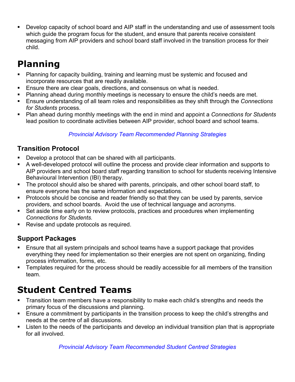**EXTE:** Develop capacity of school board and AIP staff in the understanding and use of assessment tools which guide the program focus for the student, and ensure that parents receive consistent messaging from AIP providers and school board staff involved in the transition process for their child.

# **Planning**

- **EXED** Planning for capacity building, training and learning must be systemic and focused and incorporate resources that are readily available.
- Ensure there are clear goals, directions, and consensus on what is needed.
- **EXED** Planning ahead during monthly meetings is necessary to ensure the child's needs are met.
- # Ensure understanding of all team roles and responsibilities as they shift through the *Connections for Students* process.
- # Plan ahead during monthly meetings with the end in mind and appoint a *Connections for Students* lead position to coordinate activities between AIP provider, school board and school teams.

#### *Provincial Advisory Team Recommended Planning Strategies*

## **Transition Protocol**

- Develop a protocol that can be shared with all participants.
- A well-developed protocol will outline the process and provide clear information and supports to AIP providers and school board staff regarding transition to school for students receiving Intensive Behavioural Intervention (IBI) therapy.
- **The protocol should also be shared with parents, principals, and other school board staff, to** ensure everyone has the same information and expectations.
- Protocols should be concise and reader friendly so that they can be used by parents, service providers, and school boards. Avoid the use of technical language and acronyms.
- **EXECT** Set aside time early on to review protocols, practices and procedures when implementing *Connections for Students.*
- **EXEC** Revise and update protocols as required.

## **Support Packages**

- **Ensure that all system principals and school teams have a support package that provides** everything they need for implementation so their energies are not spent on organizing, finding process information, forms, etc.
- **EXTER** Templates required for the process should be readily accessible for all members of the transition team.

# **Student Centred Teams**

- Transition team members have a responsibility to make each child's strengths and needs the primary focus of the discussions and planning.
- **Ensure a commitment by participants in the transition process to keep the child's strengths and** needs at the centre of all discussions.
- **EXTER** Listen to the needs of the participants and develop an individual transition plan that is appropriate for all involved.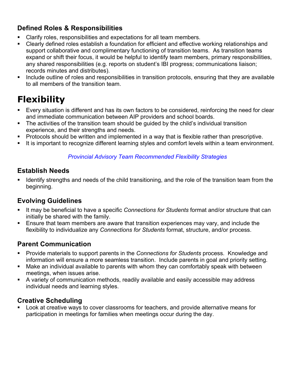## **Defined Roles & Responsibilities**

- Clarify roles, responsibilities and expectations for all team members.
- **EXTE:** Clearly defined roles establish a foundation for efficient and effective working relationships and support collaborative and complimentary functioning of transition teams. As transition teams expand or shift their focus, it would be helpful to identify team members, primary responsibilities, any shared responsibilities (e.g. reports on student's IBI progress; communications liaison; records minutes and distributes).
- **EXT** Include outline of roles and responsibilities in transition protocols, ensuring that they are available to all members of the transition team.

# **Flexibility**

- **Every situation is different and has its own factors to be considered, reinforcing the need for clear** and immediate communication between AIP providers and school boards.
- The activities of the transition team should be guided by the child's individual transition experience, and their strengths and needs.
- Protocols should be written and implemented in a way that is flexible rather than prescriptive.
- **EXTE:** It is important to recognize different learning styles and comfort levels within a team environment.

#### *Provincial Advisory Team Recommended Flexibility Strategies*

### **Establish Needs**

Identify strengths and needs of the child transitioning, and the role of the transition team from the beginning.

## **Evolving Guidelines**

- It may be beneficial to have a specific *Connections for Students* format and/or structure that can initially be shared with the family.
- **Ensure that team members are aware that transition experiences may vary, and include the** flexibility to individualize any *Connections for Students* format, structure, and/or process.

## **Parent Communication**

- # Provide materials to support parents in the *Connections for Students* process. Knowledge and information will ensure a more seamless transition. Include parents in goal and priority setting.
- **EXT** Make an individual available to parents with whom they can comfortably speak with between meetings, when issues arise.
- **A** variety of communication methods, readily available and easily accessible may address individual needs and learning styles.

## **Creative Scheduling**

**EXECT** Look at creative ways to cover classrooms for teachers, and provide alternative means for participation in meetings for families when meetings occur during the day.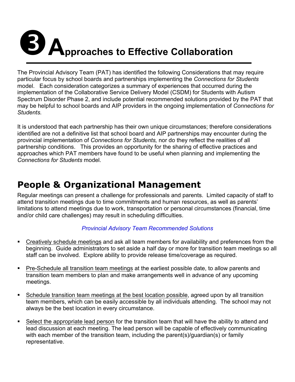# **B**<br>**A**pproaches to Effective Collaboration

The Provincial Advisory Team (PAT) has identified the following Considerations that may require particular focus by school boards and partnerships implementing the *Connections for Students*  model. Each consideration categorizes a summary of experiences that occurred during the implementation of the Collaborative Service Delivery Model (CSDM) for Students with Autism Spectrum Disorder Phase 2, and include potential recommended solutions provided by the PAT that may be helpful to school boards and AIP providers in the ongoing implementation of *Connections for Students.*

It is understood that each partnership has their own unique circumstances; therefore considerations identified are not a definitive list that school board and AIP partnerships may encounter during the provincial implementation of *Connections for Students,* nor do they reflect the realities of all partnership conditions. This provides an opportunity for the sharing of effective practices and approaches which PAT members have found to be useful when planning and implementing the *Connections for Students* model.

## **People & Organizational Management**

Regular meetings can present a challenge for professionals and parents. Limited capacity of staff to attend transition meetings due to time commitments and human resources, as well as parents' limitations to attend meetings due to work, transportation or personal circumstances (financial, time and/or child care challenges) may result in scheduling difficulties.

#### *Provincial Advisory Team Recommended Solutions*

- **Example 2** Creatively schedule meetings and ask all team members for availability and preferences from the beginning. Guide administrators to set aside a half day or more for transition team meetings so all staff can be involved. Explore ability to provide release time/coverage as required.
- **Pre-Schedule all transition team meetings at the earliest possible date, to allow parents and** transition team members to plan and make arrangements well in advance of any upcoming meetings.
- **EXECT** Schedule transition team meetings at the best location possible, agreed upon by all transition team members, which can be easily accessible by all individuals attending. The school may not always be the best location in every circumstance.
- **EXECT** Select the appropriate lead person for the transition team that will have the ability to attend and lead discussion at each meeting. The lead person will be capable of effectively communicating with each member of the transition team, including the parent(s)/guardian(s) or family representative.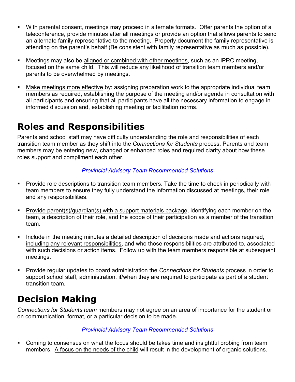- # With parental consent, meetings may proceed in alternate formats. Offer parents the option of a teleconference, provide minutes after all meetings or provide an option that allows parents to send an alternate family representative to the meeting. Properly document the family representative is attending on the parent's behalf (Be consistent with family representative as much as possible).
- **EXECT** Meetings may also be aligned or combined with other meetings, such as an IPRC meeting, focused on the same child. This will reduce any likelihood of transition team members and/or parents to be overwhelmed by meetings.
- **EXED Make meetings more effective by: assigning preparation work to the appropriate individual team** members as required, establishing the purpose of the meeting and/or agenda in consultation with all participants and ensuring that all participants have all the necessary information to engage in informed discussion and, establishing meeting or facilitation norms.

## **Roles and Responsibilities**

Parents and school staff may have difficulty understanding the role and responsibilities of each transition team member as they shift into the *Connections for Students* process. Parents and team members may be entering new, changed or enhanced roles and required clarity about how these roles support and compliment each other.

#### *Provincial Advisory Team Recommended Solutions*

- **EXECT** Provide role descriptions to transition team members. Take the time to check in periodically with team members to ensure they fully understand the information discussed at meetings, their role and any responsibilities.
- # Provide parent(s)/guardian(s) with a support materials package, identifying each member on the team, a description of their role, and the scope of their participation as a member of the transition team.
- **EXED** Include in the meeting minutes a detailed description of decisions made and actions required, including any relevant responsibilities, and who those responsibilities are attributed to, associated with such decisions or action items. Follow up with the team members responsible at subsequent meetings.
- **EXPROVIDE THIS Provide regular updates to board administration the Connections for Students process in order to** support school staff, administration, if/when they are required to participate as part of a student transition team.

# **Decision Making**

*Connections for Students team* members may not agree on an area of importance for the student or on communication, format, or a particular decision to be made.

#### *Provincial Advisory Team Recommended Solutions*

• Coming to consensus on what the focus should be takes time and insightful probing from team members. A focus on the needs of the child will result in the development of organic solutions.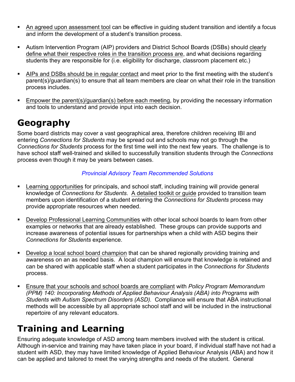- **An agreed upon assessment tool can be effective in guiding student transition and identify a focus** and inform the development of a student's transition process.
- **EXT** Autism Intervention Program (AIP) providers and District School Boards (DSBs) should clearly define what their respective roles in the transition process are, and what decisions regarding students they are responsible for (i.e. eligibility for discharge, classroom placement etc.)
- # AIPs and DSBs should be in regular contact and meet prior to the first meeting with the student's parent(s)/guardian(s) to ensure that all team members are clear on what their role in the transition process includes.
- Empower the parent(s)/guardian(s) before each meeting, by providing the necessary information and tools to understand and provide input into each decision.

## **Geography**

Some board districts may cover a vast geographical area, therefore children receiving IBI and entering *Connections for Students* may be spread out and schools may not go through the *Connections for Students* process for the first time well into the next few years. The challenge is to have school staff well-trained and skilled to successfully transition students through the *Connections*  process even though it may be years between cases.

#### *Provincial Advisory Team Recommended Solutions*

- **EXECT** Learning opportunities for principals, and school staff, including training will provide general knowledge of *Connections for Students*. A detailed toolkit or guide provided to transition team members upon identification of a student entering the *Connections for Students* process may provide appropriate resources when needed.
- **EXECT DEVELOP Professional Learning Communities with other local school boards to learn from other** examples or networks that are already established. These groups can provide supports and increase awareness of potential issues for partnerships when a child with ASD begins their *Connections for Students* experience.
- **Example 2** Develop a local school board champion that can be shared regionally providing training and awareness on an as needed basis. A local champion will ensure that knowledge is retained and can be shared with applicable staff when a student participates in the *Connections for Students*  process.
- **Ensure that your schools and school boards are compliant with** *Policy Program Memorandum (PPM) 140: Incorporating Methods of Applied Behaviour Analysis (ABA) into Programs with Students with Autism Spectrum Disorders (ASD).* Compliance will ensure that ABA instructional methods will be accessible by all appropriate school staff and will be included in the instructional repertoire of any relevant educators.

# **Training and Learning**

Ensuring adequate knowledge of ASD among team members involved with the student is critical. Although in-service and training may have taken place in your board, if individual staff have not had a student with ASD, they may have limited knowledge of Applied Behaviour Analysis (ABA) and how it can be applied and tailored to meet the varying strengths and needs of the student. General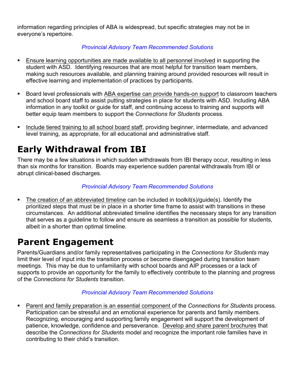information regarding principles of ABA is widespread, but specific strategies may not be in everyone's repertoire.

#### *Provincial Advisory Team Recommended Solutions*

- **Ensure learning opportunities are made available to all personnel involved in supporting the** student with ASD. Identifying resources that are most helpful for transition team members, making such resources available, and planning training around provided resources will result in effective learning and implementation of practices by participants.
- **EXECT ADDET EXAGREY DEAT FIGHTS IS A EXAGREY OF SHIP IS A EXAGREY EXAGREYS** Board level brokers and school board staff to assist putting strategies in place for students with ASD. Including ABA information in any toolkit or guide for staff, and continuing access to training and supports will better equip team members to support the *Connections for Students* process.
- **EXT** Include tiered training to all school board staff, providing beginner, intermediate, and advanced level training, as appropriate, for all educational and administrative staff.

# **Early Withdrawal from IBI**

There may be a few situations in which sudden withdrawals from IBI therapy occur, resulting in less than six months for transition. Boards may experience sudden parental withdrawals from IBI or abrupt clinical-based discharges.

#### *Provincial Advisory Team Recommended Solutions*

**The creation of an abbreviated timeline can be included in toolkit(s)/quide(s). Identify the** prioritized steps that must be in place in a shorter time frame to assist with transitions in these circumstances. An additional abbreviated timeline identifies the necessary steps for any transition that serves as a guideline to follow and ensure as seamless a transition as possible for students, albeit in a shorter than optimal timeline.

## **Parent Engagement**

Parents/Guardians and/or family representatives participating in the *Connections for Students* may limit their level of input into the transition process or become disengaged during transition team meetings. This may be due to unfamiliarity with school boards and AIP processes or a lack of supports to provide an opportunity for the family to effectively contribute to the planning and progress of the *Connections for Students* transition.

#### *Provincial Advisory Team Recommended Solutions*

# Parent and family preparation is an essential component of the *Connections for Students* process. Participation can be stressful and an emotional experience for parents and family members. Recognizing, encouraging and supporting family engagement will support the development of patience, knowledge, confidence and perseverance. Develop and share parent brochures that describe the *Connections for Students* model and recognize the important role families have in contributing to their child's transition.